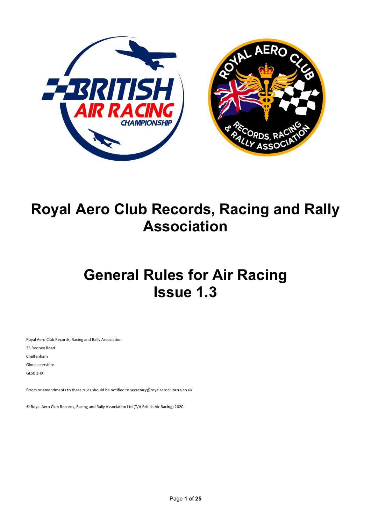

# Royal Aero Club Records, Racing and Rally Association

# General Rules for Air Racing Issue 1.3

Royal Aero Club Records, Racing and Rally Association 35 Rodney Road Cheltenham Gloucestershire GL50 1HX

Errors or amendments to these rules should be notified to secretary@royalaeroclubrrra.co.uk

© Royal Aero Club Records, Racing and Rally Association Ltd (T/A British Air Racing) 2020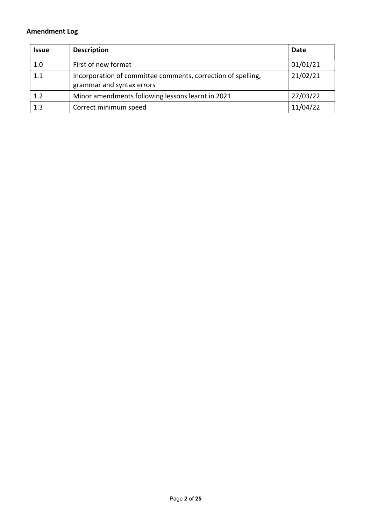# Amendment Log

| <b>Issue</b> | <b>Description</b>                                                                        | Date     |
|--------------|-------------------------------------------------------------------------------------------|----------|
| 1.0          | First of new format                                                                       | 01/01/21 |
| 1.1          | Incorporation of committee comments, correction of spelling,<br>grammar and syntax errors | 21/02/21 |
| 1.2          | Minor amendments following lessons learnt in 2021                                         | 27/03/22 |
| 1.3          | Correct minimum speed                                                                     | 11/04/22 |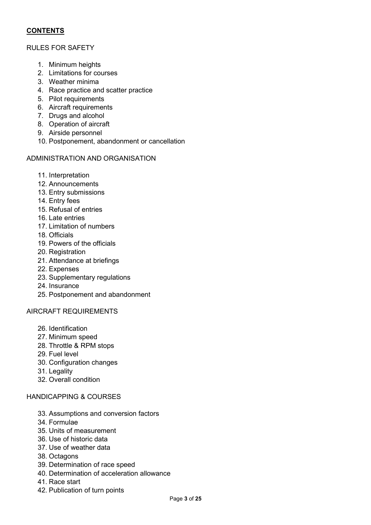# **CONTENTS**

## RULES FOR SAFETY

- 1. Minimum heights
- 2. Limitations for courses
- 3. Weather minima
- 4. Race practice and scatter practice
- 5. Pilot requirements
- 6. Aircraft requirements
- 7. Drugs and alcohol
- 8. Operation of aircraft
- 9. Airside personnel
- 10. Postponement, abandonment or cancellation

## ADMINISTRATION AND ORGANISATION

- 11. Interpretation
- 12. Announcements
- 13. Entry submissions
- 14. Entry fees
- 15. Refusal of entries
- 16. Late entries
- 17. Limitation of numbers
- 18. Officials
- 19. Powers of the officials
- 20. Registration
- 21. Attendance at briefings
- 22. Expenses
- 23. Supplementary regulations
- 24. Insurance
- 25. Postponement and abandonment

# AIRCRAFT REQUIREMENTS

- 26. Identification
- 27. Minimum speed
- 28. Throttle & RPM stops
- 29. Fuel level
- 30. Configuration changes
- 31. Legality
- 32. Overall condition

## HANDICAPPING & COURSES

- 33. Assumptions and conversion factors
- 34. Formulae
- 35. Units of measurement
- 36. Use of historic data
- 37. Use of weather data
- 38. Octagons
- 39. Determination of race speed
- 40. Determination of acceleration allowance
- 41. Race start
- 42. Publication of turn points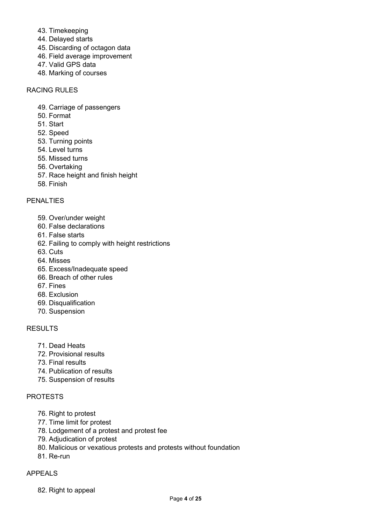- 43. Timekeeping
- 44. Delayed starts
- 45. Discarding of octagon data
- 46. Field average improvement
- 47. Valid GPS data
- 48. Marking of courses

# RACING RULES

- 49. Carriage of passengers
- 50. Format
- 51. Start
- 52. Speed
- 53. Turning points
- 54. Level turns
- 55. Missed turns
- 56. Overtaking
- 57. Race height and finish height
- 58. Finish

# PENALTIES

- 59. Over/under weight
- 60. False declarations
- 61. False starts
- 62. Failing to comply with height restrictions
- 63. Cuts
- 64. Misses
- 65. Excess/Inadequate speed
- 66. Breach of other rules
- 67. Fines
- 68. Exclusion
- 69. Disqualification
- 70. Suspension

## RESULTS

- 71. Dead Heats
- 72. Provisional results
- 73. Final results
- 74. Publication of results
- 75. Suspension of results

# PROTESTS

- 76. Right to protest
- 77. Time limit for protest
- 78. Lodgement of a protest and protest fee
- 79. Adjudication of protest
- 80. Malicious or vexatious protests and protests without foundation
- 81. Re-run

# APPEALS

82. Right to appeal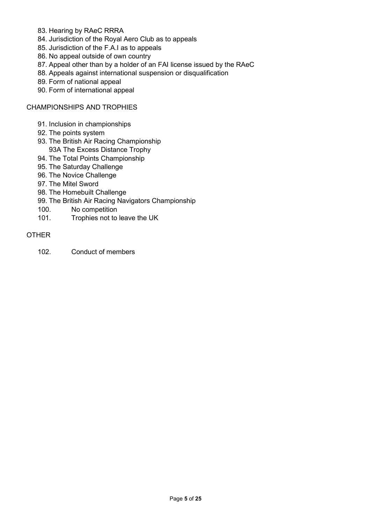- 83. Hearing by RAeC RRRA
- 84. Jurisdiction of the Royal Aero Club as to appeals
- 85. Jurisdiction of the F.A.I as to appeals
- 86. No appeal outside of own country
- 87. Appeal other than by a holder of an FAI license issued by the RAeC
- 88. Appeals against international suspension or disqualification
- 89. Form of national appeal
- 90. Form of international appeal

CHAMPIONSHIPS AND TROPHIES

- 91. Inclusion in championships
- 92. The points system
- 93. The British Air Racing Championship 93A The Excess Distance Trophy
- 94. The Total Points Championship
- 95. The Saturday Challenge
- 96. The Novice Challenge
- 97. The Mitel Sword
- 98. The Homebuilt Challenge
- 99. The British Air Racing Navigators Championship
- 100. No competition
- 101. Trophies not to leave the UK

## OTHER

102. Conduct of members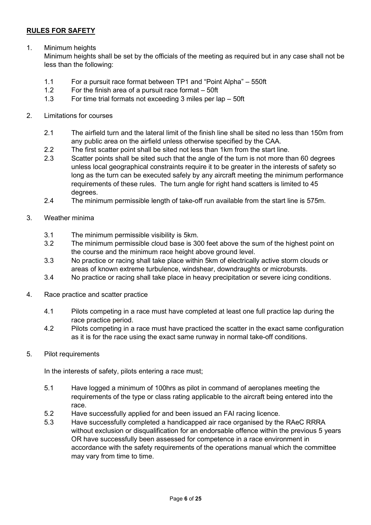# RULES FOR SAFETY

1. Minimum heights

Minimum heights shall be set by the officials of the meeting as required but in any case shall not be less than the following:

- 1.1 For a pursuit race format between TP1 and "Point Alpha" 550ft
- 1.2 For the finish area of a pursuit race format 50ft
- 1.3 For time trial formats not exceeding 3 miles per lap 50ft
- 2. Limitations for courses
	- 2.1 The airfield turn and the lateral limit of the finish line shall be sited no less than 150m from any public area on the airfield unless otherwise specified by the CAA.
	- 2.2 The first scatter point shall be sited not less than 1km from the start line.
	- 2.3 Scatter points shall be sited such that the angle of the turn is not more than 60 degrees unless local geographical constraints require it to be greater in the interests of safety so long as the turn can be executed safely by any aircraft meeting the minimum performance requirements of these rules. The turn angle for right hand scatters is limited to 45 degrees.
	- 2.4 The minimum permissible length of take-off run available from the start line is 575m.
- 3. Weather minima
	- 3.1 The minimum permissible visibility is 5km.
	- 3.2 The minimum permissible cloud base is 300 feet above the sum of the highest point on the course and the minimum race height above ground level.
	- 3.3 No practice or racing shall take place within 5km of electrically active storm clouds or areas of known extreme turbulence, windshear, downdraughts or microbursts.
	- 3.4 No practice or racing shall take place in heavy precipitation or severe icing conditions.
- 4. Race practice and scatter practice
	- 4.1 Pilots competing in a race must have completed at least one full practice lap during the race practice period.
	- 4.2 Pilots competing in a race must have practiced the scatter in the exact same configuration as it is for the race using the exact same runway in normal take-off conditions.
- 5. Pilot requirements

In the interests of safety, pilots entering a race must;

- 5.1 Have logged a minimum of 100hrs as pilot in command of aeroplanes meeting the requirements of the type or class rating applicable to the aircraft being entered into the race.
- 5.2 Have successfully applied for and been issued an FAI racing licence.
- 5.3 Have successfully completed a handicapped air race organised by the RAeC RRRA without exclusion or disqualification for an endorsable offence within the previous 5 years OR have successfully been assessed for competence in a race environment in accordance with the safety requirements of the operations manual which the committee may vary from time to time.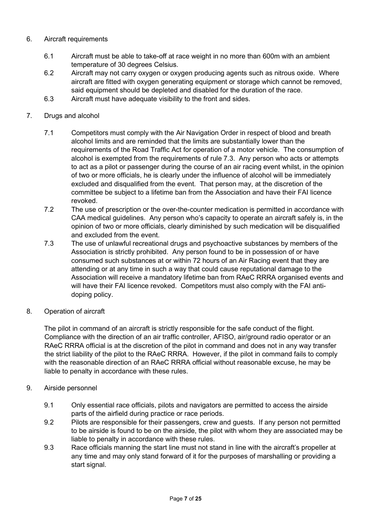- 6. Aircraft requirements
	- 6.1 Aircraft must be able to take-off at race weight in no more than 600m with an ambient temperature of 30 degrees Celsius.
	- 6.2 Aircraft may not carry oxygen or oxygen producing agents such as nitrous oxide. Where aircraft are fitted with oxygen generating equipment or storage which cannot be removed, said equipment should be depleted and disabled for the duration of the race.
	- 6.3 Aircraft must have adequate visibility to the front and sides.
- 7. Drugs and alcohol
	- 7.1 Competitors must comply with the Air Navigation Order in respect of blood and breath alcohol limits and are reminded that the limits are substantially lower than the requirements of the Road Traffic Act for operation of a motor vehicle. The consumption of alcohol is exempted from the requirements of rule 7.3. Any person who acts or attempts to act as a pilot or passenger during the course of an air racing event whilst, in the opinion of two or more officials, he is clearly under the influence of alcohol will be immediately excluded and disqualified from the event. That person may, at the discretion of the committee be subject to a lifetime ban from the Association and have their FAI licence revoked.
	- 7.2 The use of prescription or the over-the-counter medication is permitted in accordance with CAA medical guidelines. Any person who's capacity to operate an aircraft safely is, in the opinion of two or more officials, clearly diminished by such medication will be disqualified and excluded from the event.
	- 7.3 The use of unlawful recreational drugs and psychoactive substances by members of the Association is strictly prohibited. Any person found to be in possession of or have consumed such substances at or within 72 hours of an Air Racing event that they are attending or at any time in such a way that could cause reputational damage to the Association will receive a mandatory lifetime ban from RAeC RRRA organised events and will have their FAI licence revoked. Competitors must also comply with the FAI antidoping policy.
- 8. Operation of aircraft

The pilot in command of an aircraft is strictly responsible for the safe conduct of the flight. Compliance with the direction of an air traffic controller, AFISO, air/ground radio operator or an RAeC RRRA official is at the discretion of the pilot in command and does not in any way transfer the strict liability of the pilot to the RAeC RRRA. However, if the pilot in command fails to comply with the reasonable direction of an RAeC RRRA official without reasonable excuse, he may be liable to penalty in accordance with these rules.

- 9. Airside personnel
	- 9.1 Only essential race officials, pilots and navigators are permitted to access the airside parts of the airfield during practice or race periods.
	- 9.2 Pilots are responsible for their passengers, crew and guests. If any person not permitted to be airside is found to be on the airside, the pilot with whom they are associated may be liable to penalty in accordance with these rules.
	- 9.3 Race officials manning the start line must not stand in line with the aircraft's propeller at any time and may only stand forward of it for the purposes of marshalling or providing a start signal.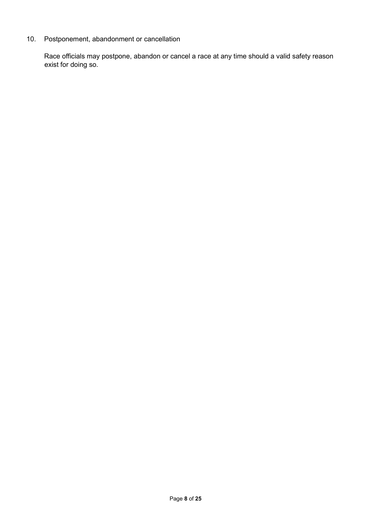# 10. Postponement, abandonment or cancellation

Race officials may postpone, abandon or cancel a race at any time should a valid safety reason exist for doing so.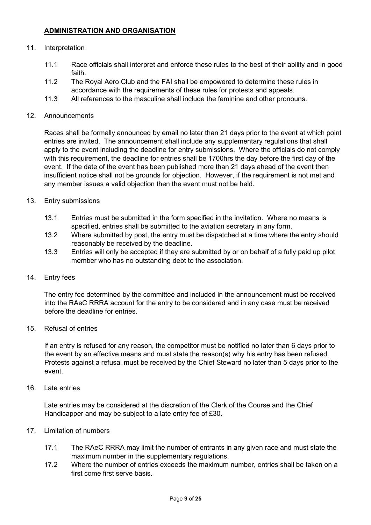# ADMINISTRATION AND ORGANISATION

#### 11. Interpretation

- 11.1 Race officials shall interpret and enforce these rules to the best of their ability and in good faith.
- 11.2 The Royal Aero Club and the FAI shall be empowered to determine these rules in accordance with the requirements of these rules for protests and appeals.
- 11.3 All references to the masculine shall include the feminine and other pronouns.

#### 12. Announcements

Races shall be formally announced by email no later than 21 days prior to the event at which point entries are invited. The announcement shall include any supplementary regulations that shall apply to the event including the deadline for entry submissions. Where the officials do not comply with this requirement, the deadline for entries shall be 1700hrs the day before the first day of the event. If the date of the event has been published more than 21 days ahead of the event then insufficient notice shall not be grounds for objection. However, if the requirement is not met and any member issues a valid objection then the event must not be held.

- 13. Entry submissions
	- 13.1 Entries must be submitted in the form specified in the invitation. Where no means is specified, entries shall be submitted to the aviation secretary in any form.
	- 13.2 Where submitted by post, the entry must be dispatched at a time where the entry should reasonably be received by the deadline.
	- 13.3 Entries will only be accepted if they are submitted by or on behalf of a fully paid up pilot member who has no outstanding debt to the association.
- 14. Entry fees

The entry fee determined by the committee and included in the announcement must be received into the RAeC RRRA account for the entry to be considered and in any case must be received before the deadline for entries.

15. Refusal of entries

If an entry is refused for any reason, the competitor must be notified no later than 6 days prior to the event by an effective means and must state the reason(s) why his entry has been refused. Protests against a refusal must be received by the Chief Steward no later than 5 days prior to the event.

16. Late entries

Late entries may be considered at the discretion of the Clerk of the Course and the Chief Handicapper and may be subject to a late entry fee of £30.

- 17. Limitation of numbers
	- 17.1 The RAeC RRRA may limit the number of entrants in any given race and must state the maximum number in the supplementary regulations.
	- 17.2 Where the number of entries exceeds the maximum number, entries shall be taken on a first come first serve basis.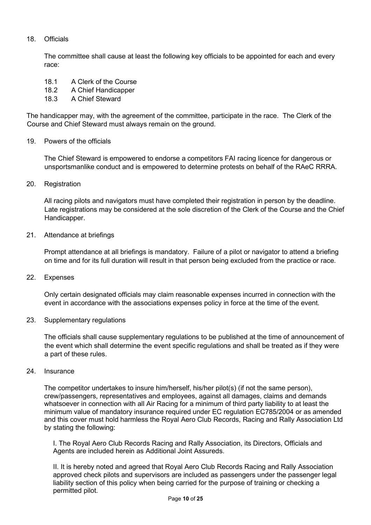# 18. Officials

The committee shall cause at least the following key officials to be appointed for each and every race:

- 18.1 A Clerk of the Course
- 18.2 A Chief Handicapper
- 18.3 A Chief Steward

The handicapper may, with the agreement of the committee, participate in the race. The Clerk of the Course and Chief Steward must always remain on the ground.

#### 19. Powers of the officials

The Chief Steward is empowered to endorse a competitors FAI racing licence for dangerous or unsportsmanlike conduct and is empowered to determine protests on behalf of the RAeC RRRA.

20. Registration

All racing pilots and navigators must have completed their registration in person by the deadline. Late registrations may be considered at the sole discretion of the Clerk of the Course and the Chief Handicapper.

21. Attendance at briefings

Prompt attendance at all briefings is mandatory. Failure of a pilot or navigator to attend a briefing on time and for its full duration will result in that person being excluded from the practice or race.

22. Expenses

Only certain designated officials may claim reasonable expenses incurred in connection with the event in accordance with the associations expenses policy in force at the time of the event.

23. Supplementary regulations

The officials shall cause supplementary regulations to be published at the time of announcement of the event which shall determine the event specific regulations and shall be treated as if they were a part of these rules.

24. Insurance

The competitor undertakes to insure him/herself, his/her pilot(s) (if not the same person), crew/passengers, representatives and employees, against all damages, claims and demands whatsoever in connection with all Air Racing for a minimum of third party liability to at least the minimum value of mandatory insurance required under EC regulation EC785/2004 or as amended and this cover must hold harmless the Royal Aero Club Records, Racing and Rally Association Ltd by stating the following:

I. The Royal Aero Club Records Racing and Rally Association, its Directors, Officials and Agents are included herein as Additional Joint Assureds.

II. It is hereby noted and agreed that Royal Aero Club Records Racing and Rally Association approved check pilots and supervisors are included as passengers under the passenger legal liability section of this policy when being carried for the purpose of training or checking a permitted pilot.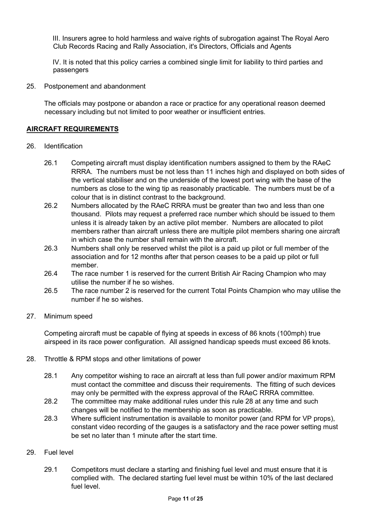III. Insurers agree to hold harmless and waive rights of subrogation against The Royal Aero Club Records Racing and Rally Association, it's Directors, Officials and Agents

IV. It is noted that this policy carries a combined single limit for liability to third parties and passengers

25. Postponement and abandonment

The officials may postpone or abandon a race or practice for any operational reason deemed necessary including but not limited to poor weather or insufficient entries.

## AIRCRAFT REQUIREMENTS

- 26. Identification
	- 26.1 Competing aircraft must display identification numbers assigned to them by the RAeC RRRA. The numbers must be not less than 11 inches high and displayed on both sides of the vertical stabiliser and on the underside of the lowest port wing with the base of the numbers as close to the wing tip as reasonably practicable. The numbers must be of a colour that is in distinct contrast to the background.
	- 26.2 Numbers allocated by the RAeC RRRA must be greater than two and less than one thousand. Pilots may request a preferred race number which should be issued to them unless it is already taken by an active pilot member. Numbers are allocated to pilot members rather than aircraft unless there are multiple pilot members sharing one aircraft in which case the number shall remain with the aircraft.
	- 26.3 Numbers shall only be reserved whilst the pilot is a paid up pilot or full member of the association and for 12 months after that person ceases to be a paid up pilot or full member.
	- 26.4 The race number 1 is reserved for the current British Air Racing Champion who may utilise the number if he so wishes.
	- 26.5 The race number 2 is reserved for the current Total Points Champion who may utilise the number if he so wishes.
- 27. Minimum speed

Competing aircraft must be capable of flying at speeds in excess of 86 knots (100mph) true airspeed in its race power configuration. All assigned handicap speeds must exceed 86 knots.

- 28. Throttle & RPM stops and other limitations of power
	- 28.1 Any competitor wishing to race an aircraft at less than full power and/or maximum RPM must contact the committee and discuss their requirements. The fitting of such devices may only be permitted with the express approval of the RAeC RRRA committee.
	- 28.2 The committee may make additional rules under this rule 28 at any time and such changes will be notified to the membership as soon as practicable.
	- 28.3 Where sufficient instrumentation is available to monitor power (and RPM for VP props), constant video recording of the gauges is a satisfactory and the race power setting must be set no later than 1 minute after the start time.
- 29. Fuel level
	- 29.1 Competitors must declare a starting and finishing fuel level and must ensure that it is complied with. The declared starting fuel level must be within 10% of the last declared fuel level.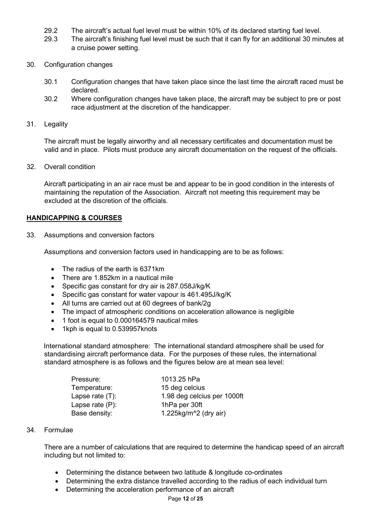- 29.2 The aircraft's actual fuel level must be within 10% of its declared starting fuel level.
- 29.3 The aircraft's finishing fuel level must be such that it can fly for an additional 30 minutes at a cruise power setting.
- 30. Configuration changes
	- 30.1 Configuration changes that have taken place since the last time the aircraft raced must be declared.
	- 30.2 Where configuration changes have taken place, the aircraft may be subject to pre or post race adjustment at the discretion of the handicapper.
- 31. Legality

The aircraft must be legally airworthy and all necessary certificates and documentation must be valid and in place. Pilots must produce any aircraft documentation on the request of the officials.

32. Overall condition

Aircraft participating in an air race must be and appear to be in good condition in the interests of maintaining the reputation of the Association. Aircraft not meeting this requirement may be excluded at the discretion of the officials.

## HANDICAPPING & COURSES

33. Assumptions and conversion factors

Assumptions and conversion factors used in handicapping are to be as follows:

- The radius of the earth is 6371km
- There are 1.852km in a nautical mile
- Specific gas constant for dry air is 287.058J/kg/K
- Specific gas constant for water vapour is 461.495J/kg/K
- All turns are carried out at 60 degrees of bank/2g
- The impact of atmospheric conditions on acceleration allowance is negligible
- 1 foot is equal to 0.000164579 nautical miles
- 1kph is equal to 0.539957knots

International standard atmosphere: The international standard atmosphere shall be used for standardising aircraft performance data. For the purposes of these rules, the international standard atmosphere is as follows and the figures below are at mean sea level:

| Pressure:          | 1013.25 hPa                 |  |
|--------------------|-----------------------------|--|
| Temperature:       | 15 deg celcius              |  |
| Lapse rate $(T)$ : | 1.98 deg celcius per 1000ft |  |
| Lapse rate $(P)$ : | 1hPa per 30ft               |  |
| Base density:      | 1.225 $kg/m^2$ (dry air)    |  |
|                    |                             |  |

#### 34. Formulae

There are a number of calculations that are required to determine the handicap speed of an aircraft including but not limited to:

- Determining the distance between two latitude & longitude co-ordinates
- Determining the extra distance travelled according to the radius of each individual turn
- Determining the acceleration performance of an aircraft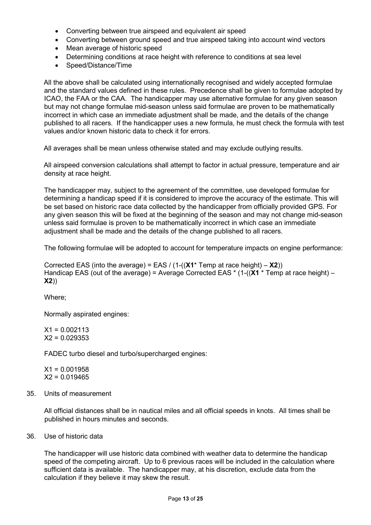- Converting between true airspeed and equivalent air speed
- Converting between ground speed and true airspeed taking into account wind vectors
- Mean average of historic speed
- Determining conditions at race height with reference to conditions at sea level
- Speed/Distance/Time

All the above shall be calculated using internationally recognised and widely accepted formulae and the standard values defined in these rules. Precedence shall be given to formulae adopted by ICAO, the FAA or the CAA. The handicapper may use alternative formulae for any given season but may not change formulae mid-season unless said formulae are proven to be mathematically incorrect in which case an immediate adjustment shall be made, and the details of the change published to all racers. If the handicapper uses a new formula, he must check the formula with test values and/or known historic data to check it for errors.

All averages shall be mean unless otherwise stated and may exclude outlying results.

All airspeed conversion calculations shall attempt to factor in actual pressure, temperature and air density at race height.

The handicapper may, subject to the agreement of the committee, use developed formulae for determining a handicap speed if it is considered to improve the accuracy of the estimate. This will be set based on historic race data collected by the handicapper from officially provided GPS. For any given season this will be fixed at the beginning of the season and may not change mid-season unless said formulae is proven to be mathematically incorrect in which case an immediate adjustment shall be made and the details of the change published to all racers.

The following formulae will be adopted to account for temperature impacts on engine performance:

Corrected EAS (into the average) = EAS /  $(1-(X1^*$  Temp at race height) –  $X2)$ ) Handicap EAS (out of the average) = Average Corrected EAS  $*$  (1-((X1  $*$  Temp at race height) – X2))

Where;

Normally aspirated engines:

 $X1 = 0.002113$  $X2 = 0.029353$ 

FADEC turbo diesel and turbo/supercharged engines:

 $X1 = 0.001958$  $X2 = 0.019465$ 

35. Units of measurement

All official distances shall be in nautical miles and all official speeds in knots. All times shall be published in hours minutes and seconds.

36. Use of historic data

The handicapper will use historic data combined with weather data to determine the handicap speed of the competing aircraft. Up to 6 previous races will be included in the calculation where sufficient data is available. The handicapper may, at his discretion, exclude data from the calculation if they believe it may skew the result.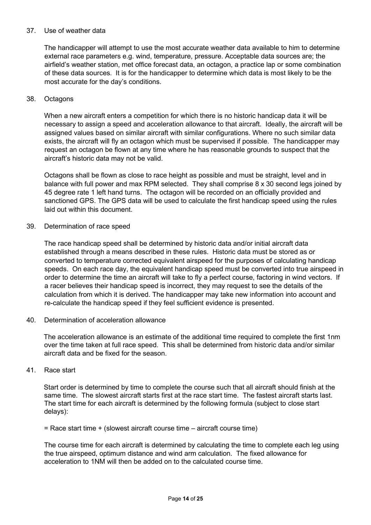## 37. Use of weather data

The handicapper will attempt to use the most accurate weather data available to him to determine external race parameters e.g. wind, temperature, pressure. Acceptable data sources are; the airfield's weather station, met office forecast data, an octagon, a practice lap or some combination of these data sources. It is for the handicapper to determine which data is most likely to be the most accurate for the day's conditions.

#### 38. Octagons

When a new aircraft enters a competition for which there is no historic handicap data it will be necessary to assign a speed and acceleration allowance to that aircraft. Ideally, the aircraft will be assigned values based on similar aircraft with similar configurations. Where no such similar data exists, the aircraft will fly an octagon which must be supervised if possible. The handicapper may request an octagon be flown at any time where he has reasonable grounds to suspect that the aircraft's historic data may not be valid.

Octagons shall be flown as close to race height as possible and must be straight, level and in balance with full power and max RPM selected. They shall comprise 8 x 30 second legs joined by 45 degree rate 1 left hand turns. The octagon will be recorded on an officially provided and sanctioned GPS. The GPS data will be used to calculate the first handicap speed using the rules laid out within this document.

39. Determination of race speed

The race handicap speed shall be determined by historic data and/or initial aircraft data established through a means described in these rules. Historic data must be stored as or converted to temperature corrected equivalent airspeed for the purposes of calculating handicap speeds. On each race day, the equivalent handicap speed must be converted into true airspeed in order to determine the time an aircraft will take to fly a perfect course, factoring in wind vectors. If a racer believes their handicap speed is incorrect, they may request to see the details of the calculation from which it is derived. The handicapper may take new information into account and re-calculate the handicap speed if they feel sufficient evidence is presented.

40. Determination of acceleration allowance

The acceleration allowance is an estimate of the additional time required to complete the first 1nm over the time taken at full race speed. This shall be determined from historic data and/or similar aircraft data and be fixed for the season.

#### 41. Race start

Start order is determined by time to complete the course such that all aircraft should finish at the same time. The slowest aircraft starts first at the race start time. The fastest aircraft starts last. The start time for each aircraft is determined by the following formula (subject to close start delays):

= Race start time + (slowest aircraft course time – aircraft course time)

The course time for each aircraft is determined by calculating the time to complete each leg using the true airspeed, optimum distance and wind arm calculation. The fixed allowance for acceleration to 1NM will then be added on to the calculated course time.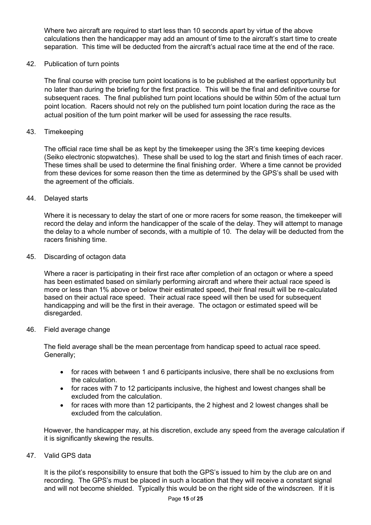Where two aircraft are required to start less than 10 seconds apart by virtue of the above calculations then the handicapper may add an amount of time to the aircraft's start time to create separation. This time will be deducted from the aircraft's actual race time at the end of the race.

42. Publication of turn points

The final course with precise turn point locations is to be published at the earliest opportunity but no later than during the briefing for the first practice. This will be the final and definitive course for subsequent races. The final published turn point locations should be within 50m of the actual turn point location. Racers should not rely on the published turn point location during the race as the actual position of the turn point marker will be used for assessing the race results.

#### 43. Timekeeping

The official race time shall be as kept by the timekeeper using the 3R's time keeping devices (Seiko electronic stopwatches). These shall be used to log the start and finish times of each racer. These times shall be used to determine the final finishing order. Where a time cannot be provided from these devices for some reason then the time as determined by the GPS's shall be used with the agreement of the officials.

44. Delayed starts

Where it is necessary to delay the start of one or more racers for some reason, the timekeeper will record the delay and inform the handicapper of the scale of the delay. They will attempt to manage the delay to a whole number of seconds, with a multiple of 10. The delay will be deducted from the racers finishing time.

45. Discarding of octagon data

Where a racer is participating in their first race after completion of an octagon or where a speed has been estimated based on similarly performing aircraft and where their actual race speed is more or less than 1% above or below their estimated speed, their final result will be re-calculated based on their actual race speed. Their actual race speed will then be used for subsequent handicapping and will be the first in their average. The octagon or estimated speed will be disregarded.

46. Field average change

The field average shall be the mean percentage from handicap speed to actual race speed. Generally;

- for races with between 1 and 6 participants inclusive, there shall be no exclusions from the calculation.
- for races with 7 to 12 participants inclusive, the highest and lowest changes shall be excluded from the calculation.
- for races with more than 12 participants, the 2 highest and 2 lowest changes shall be excluded from the calculation.

However, the handicapper may, at his discretion, exclude any speed from the average calculation if it is significantly skewing the results.

47. Valid GPS data

It is the pilot's responsibility to ensure that both the GPS's issued to him by the club are on and recording. The GPS's must be placed in such a location that they will receive a constant signal and will not become shielded. Typically this would be on the right side of the windscreen. If it is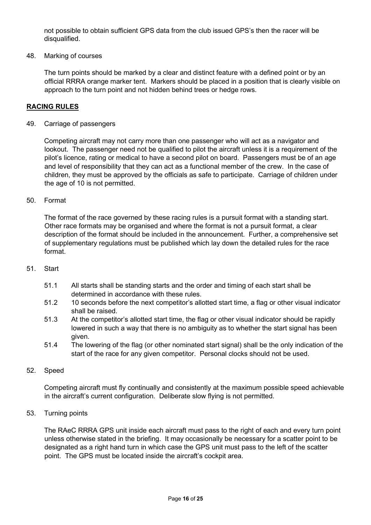not possible to obtain sufficient GPS data from the club issued GPS's then the racer will be disqualified.

#### 48. Marking of courses

The turn points should be marked by a clear and distinct feature with a defined point or by an official RRRA orange marker tent. Markers should be placed in a position that is clearly visible on approach to the turn point and not hidden behind trees or hedge rows.

#### RACING RULES

#### 49. Carriage of passengers

Competing aircraft may not carry more than one passenger who will act as a navigator and lookout. The passenger need not be qualified to pilot the aircraft unless it is a requirement of the pilot's licence, rating or medical to have a second pilot on board. Passengers must be of an age and level of responsibility that they can act as a functional member of the crew. In the case of children, they must be approved by the officials as safe to participate. Carriage of children under the age of 10 is not permitted.

#### 50. Format

The format of the race governed by these racing rules is a pursuit format with a standing start. Other race formats may be organised and where the format is not a pursuit format, a clear description of the format should be included in the announcement. Further, a comprehensive set of supplementary regulations must be published which lay down the detailed rules for the race format.

#### 51. Start

- 51.1 All starts shall be standing starts and the order and timing of each start shall be determined in accordance with these rules.
- 51.2 10 seconds before the next competitor's allotted start time, a flag or other visual indicator shall be raised.
- 51.3 At the competitor's allotted start time, the flag or other visual indicator should be rapidly lowered in such a way that there is no ambiguity as to whether the start signal has been given.
- 51.4 The lowering of the flag (or other nominated start signal) shall be the only indication of the start of the race for any given competitor. Personal clocks should not be used.

#### 52. Speed

Competing aircraft must fly continually and consistently at the maximum possible speed achievable in the aircraft's current configuration. Deliberate slow flying is not permitted.

#### 53. Turning points

The RAeC RRRA GPS unit inside each aircraft must pass to the right of each and every turn point unless otherwise stated in the briefing. It may occasionally be necessary for a scatter point to be designated as a right hand turn in which case the GPS unit must pass to the left of the scatter point. The GPS must be located inside the aircraft's cockpit area.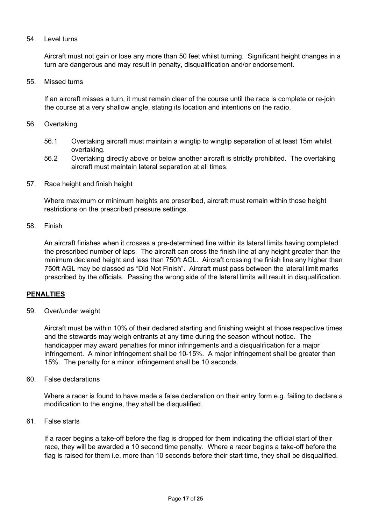## 54. Level turns

Aircraft must not gain or lose any more than 50 feet whilst turning. Significant height changes in a turn are dangerous and may result in penalty, disqualification and/or endorsement.

55. Missed turns

If an aircraft misses a turn, it must remain clear of the course until the race is complete or re-join the course at a very shallow angle, stating its location and intentions on the radio.

- 56. Overtaking
	- 56.1 Overtaking aircraft must maintain a wingtip to wingtip separation of at least 15m whilst overtaking.
	- 56.2 Overtaking directly above or below another aircraft is strictly prohibited. The overtaking aircraft must maintain lateral separation at all times.
- 57. Race height and finish height

Where maximum or minimum heights are prescribed, aircraft must remain within those height restrictions on the prescribed pressure settings.

58. Finish

An aircraft finishes when it crosses a pre-determined line within its lateral limits having completed the prescribed number of laps. The aircraft can cross the finish line at any height greater than the minimum declared height and less than 750ft AGL. Aircraft crossing the finish line any higher than 750ft AGL may be classed as "Did Not Finish". Aircraft must pass between the lateral limit marks prescribed by the officials. Passing the wrong side of the lateral limits will result in disqualification.

## PENALTIES

59. Over/under weight

Aircraft must be within 10% of their declared starting and finishing weight at those respective times and the stewards may weigh entrants at any time during the season without notice. The handicapper may award penalties for minor infringements and a disqualification for a major infringement. A minor infringement shall be 10-15%. A major infringement shall be greater than 15%. The penalty for a minor infringement shall be 10 seconds.

60. False declarations

Where a racer is found to have made a false declaration on their entry form e.g. failing to declare a modification to the engine, they shall be disqualified.

61. False starts

If a racer begins a take-off before the flag is dropped for them indicating the official start of their race, they will be awarded a 10 second time penalty. Where a racer begins a take-off before the flag is raised for them i.e. more than 10 seconds before their start time, they shall be disqualified.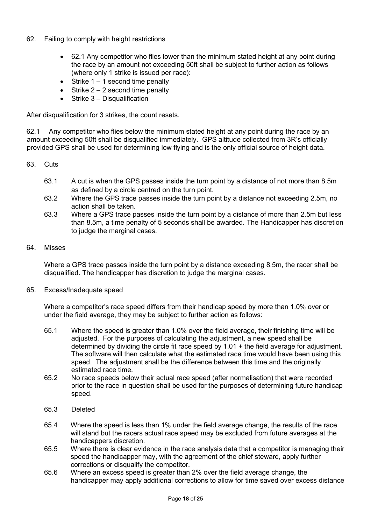- 62. Failing to comply with height restrictions
	- 62.1 Any competitor who flies lower than the minimum stated height at any point during the race by an amount not exceeding 50ft shall be subject to further action as follows (where only 1 strike is issued per race):
	- $\bullet$  Strike 1 1 second time penalty
	- Strike  $2 2$  second time penalty
	- $\bullet$  Strike 3 Disqualification

After disqualification for 3 strikes, the count resets.

62.1 Any competitor who flies below the minimum stated height at any point during the race by an amount exceeding 50ft shall be disqualified immediately. GPS altitude collected from 3R's officially provided GPS shall be used for determining low flying and is the only official source of height data.

- 63. Cuts
	- 63.1 A cut is when the GPS passes inside the turn point by a distance of not more than 8.5m as defined by a circle centred on the turn point.
	- 63.2 Where the GPS trace passes inside the turn point by a distance not exceeding 2.5m, no action shall be taken.
	- 63.3 Where a GPS trace passes inside the turn point by a distance of more than 2.5m but less than 8.5m, a time penalty of 5 seconds shall be awarded. The Handicapper has discretion to judge the marginal cases.

#### 64. Misses

Where a GPS trace passes inside the turn point by a distance exceeding 8.5m, the racer shall be disqualified. The handicapper has discretion to judge the marginal cases.

65. Excess/Inadequate speed

Where a competitor's race speed differs from their handicap speed by more than 1.0% over or under the field average, they may be subject to further action as follows:

- 65.1 Where the speed is greater than 1.0% over the field average, their finishing time will be adjusted. For the purposes of calculating the adjustment, a new speed shall be determined by dividing the circle fit race speed by 1.01 + the field average for adjustment. The software will then calculate what the estimated race time would have been using this speed. The adjustment shall be the difference between this time and the originally estimated race time.
- 65.2 No race speeds below their actual race speed (after normalisation) that were recorded prior to the race in question shall be used for the purposes of determining future handicap speed.
- 65.3 Deleted
- 65.4 Where the speed is less than 1% under the field average change, the results of the race will stand but the racers actual race speed may be excluded from future averages at the handicappers discretion.
- 65.5 Where there is clear evidence in the race analysis data that a competitor is managing their speed the handicapper may, with the agreement of the chief steward, apply further corrections or disqualify the competitor.
- 65.6 Where an excess speed is greater than 2% over the field average change, the handicapper may apply additional corrections to allow for time saved over excess distance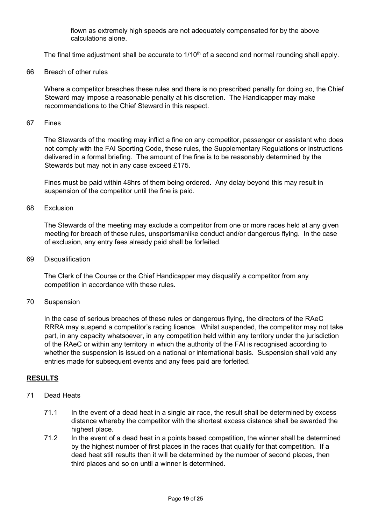flown as extremely high speeds are not adequately compensated for by the above calculations alone.

The final time adjustment shall be accurate to 1/10<sup>th</sup> of a second and normal rounding shall apply.

66 Breach of other rules

Where a competitor breaches these rules and there is no prescribed penalty for doing so, the Chief Steward may impose a reasonable penalty at his discretion. The Handicapper may make recommendations to the Chief Steward in this respect.

67 Fines

The Stewards of the meeting may inflict a fine on any competitor, passenger or assistant who does not comply with the FAI Sporting Code, these rules, the Supplementary Regulations or instructions delivered in a formal briefing. The amount of the fine is to be reasonably determined by the Stewards but may not in any case exceed £175.

Fines must be paid within 48hrs of them being ordered. Any delay beyond this may result in suspension of the competitor until the fine is paid.

#### 68 Exclusion

The Stewards of the meeting may exclude a competitor from one or more races held at any given meeting for breach of these rules, unsportsmanlike conduct and/or dangerous flying. In the case of exclusion, any entry fees already paid shall be forfeited.

69 Disqualification

The Clerk of the Course or the Chief Handicapper may disqualify a competitor from any competition in accordance with these rules.

70 Suspension

In the case of serious breaches of these rules or dangerous flying, the directors of the RAeC RRRA may suspend a competitor's racing licence. Whilst suspended, the competitor may not take part, in any capacity whatsoever, in any competition held within any territory under the jurisdiction of the RAeC or within any territory in which the authority of the FAI is recognised according to whether the suspension is issued on a national or international basis. Suspension shall void any entries made for subsequent events and any fees paid are forfeited.

## RESULTS

- 71 Dead Heats
	- 71.1 In the event of a dead heat in a single air race, the result shall be determined by excess distance whereby the competitor with the shortest excess distance shall be awarded the highest place.
	- 71.2 In the event of a dead heat in a points based competition, the winner shall be determined by the highest number of first places in the races that qualify for that competition. If a dead heat still results then it will be determined by the number of second places, then third places and so on until a winner is determined.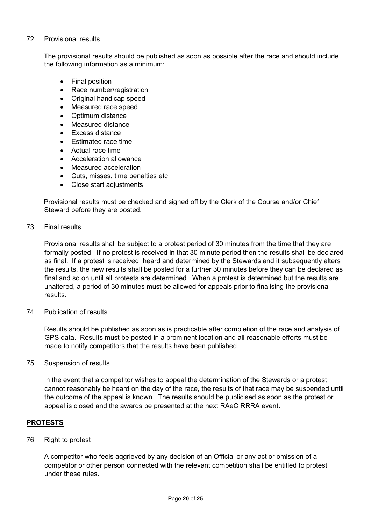## 72 Provisional results

The provisional results should be published as soon as possible after the race and should include the following information as a minimum:

- Final position
- Race number/registration
- Original handicap speed
- Measured race speed
- Optimum distance
- Measured distance
- Excess distance
- Fstimated race time
- Actual race time
- Acceleration allowance
- Measured acceleration
- Cuts, misses, time penalties etc
- Close start adjustments

Provisional results must be checked and signed off by the Clerk of the Course and/or Chief Steward before they are posted.

## 73 Final results

Provisional results shall be subject to a protest period of 30 minutes from the time that they are formally posted. If no protest is received in that 30 minute period then the results shall be declared as final. If a protest is received, heard and determined by the Stewards and it subsequently alters the results, the new results shall be posted for a further 30 minutes before they can be declared as final and so on until all protests are determined. When a protest is determined but the results are unaltered, a period of 30 minutes must be allowed for appeals prior to finalising the provisional results.

## 74 Publication of results

Results should be published as soon as is practicable after completion of the race and analysis of GPS data. Results must be posted in a prominent location and all reasonable efforts must be made to notify competitors that the results have been published.

## 75 Suspension of results

In the event that a competitor wishes to appeal the determination of the Stewards or a protest cannot reasonably be heard on the day of the race, the results of that race may be suspended until the outcome of the appeal is known. The results should be publicised as soon as the protest or appeal is closed and the awards be presented at the next RAeC RRRA event.

# PROTESTS

## 76 Right to protest

A competitor who feels aggrieved by any decision of an Official or any act or omission of a competitor or other person connected with the relevant competition shall be entitled to protest under these rules.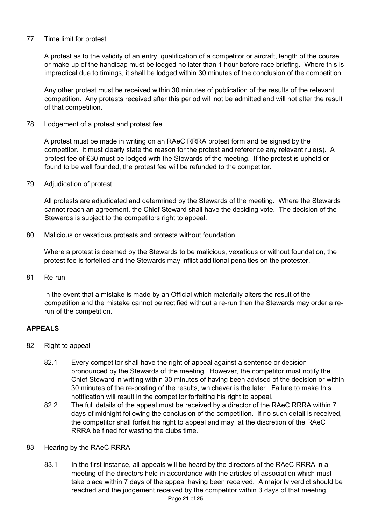## 77 Time limit for protest

A protest as to the validity of an entry, qualification of a competitor or aircraft, length of the course or make up of the handicap must be lodged no later than 1 hour before race briefing. Where this is impractical due to timings, it shall be lodged within 30 minutes of the conclusion of the competition.

Any other protest must be received within 30 minutes of publication of the results of the relevant competition. Any protests received after this period will not be admitted and will not alter the result of that competition.

78 Lodgement of a protest and protest fee

A protest must be made in writing on an RAeC RRRA protest form and be signed by the competitor. It must clearly state the reason for the protest and reference any relevant rule(s). A protest fee of £30 must be lodged with the Stewards of the meeting. If the protest is upheld or found to be well founded, the protest fee will be refunded to the competitor.

79 Adjudication of protest

All protests are adjudicated and determined by the Stewards of the meeting. Where the Stewards cannot reach an agreement, the Chief Steward shall have the deciding vote. The decision of the Stewards is subject to the competitors right to appeal.

80 Malicious or vexatious protests and protests without foundation

 Where a protest is deemed by the Stewards to be malicious, vexatious or without foundation, the protest fee is forfeited and the Stewards may inflict additional penalties on the protester.

81 Re-run

In the event that a mistake is made by an Official which materially alters the result of the competition and the mistake cannot be rectified without a re-run then the Stewards may order a rerun of the competition.

# APPEALS

- 82 Right to appeal
	- 82.1 Every competitor shall have the right of appeal against a sentence or decision pronounced by the Stewards of the meeting. However, the competitor must notify the Chief Steward in writing within 30 minutes of having been advised of the decision or within 30 minutes of the re-posting of the results, whichever is the later. Failure to make this notification will result in the competitor forfeiting his right to appeal.
	- 82.2 The full details of the appeal must be received by a director of the RAeC RRRA within 7 days of midnight following the conclusion of the competition. If no such detail is received, the competitor shall forfeit his right to appeal and may, at the discretion of the RAeC RRRA be fined for wasting the clubs time.
- 83 Hearing by the RAeC RRRA
	- Page 21 of 25 83.1 In the first instance, all appeals will be heard by the directors of the RAeC RRRA in a meeting of the directors held in accordance with the articles of association which must take place within 7 days of the appeal having been received. A majority verdict should be reached and the judgement received by the competitor within 3 days of that meeting.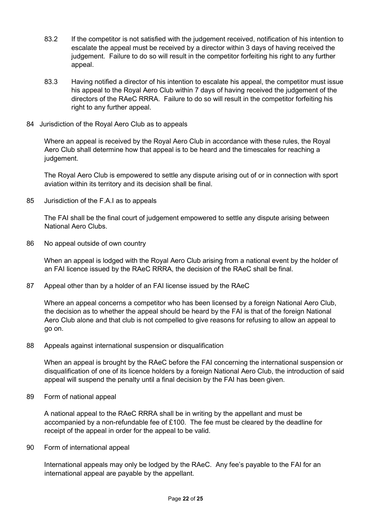- 83.2 If the competitor is not satisfied with the judgement received, notification of his intention to escalate the appeal must be received by a director within 3 days of having received the judgement. Failure to do so will result in the competitor forfeiting his right to any further appeal.
- 83.3 Having notified a director of his intention to escalate his appeal, the competitor must issue his appeal to the Royal Aero Club within 7 days of having received the judgement of the directors of the RAeC RRRA. Failure to do so will result in the competitor forfeiting his right to any further appeal.
- 84 Jurisdiction of the Royal Aero Club as to appeals

Where an appeal is received by the Royal Aero Club in accordance with these rules, the Royal Aero Club shall determine how that appeal is to be heard and the timescales for reaching a judgement.

The Royal Aero Club is empowered to settle any dispute arising out of or in connection with sport aviation within its territory and its decision shall be final.

85 Jurisdiction of the F.A.I as to appeals

The FAI shall be the final court of judgement empowered to settle any dispute arising between National Aero Clubs.

86 No appeal outside of own country

When an appeal is lodged with the Royal Aero Club arising from a national event by the holder of an FAI licence issued by the RAeC RRRA, the decision of the RAeC shall be final.

87 Appeal other than by a holder of an FAI license issued by the RAeC

Where an appeal concerns a competitor who has been licensed by a foreign National Aero Club, the decision as to whether the appeal should be heard by the FAI is that of the foreign National Aero Club alone and that club is not compelled to give reasons for refusing to allow an appeal to go on.

88 Appeals against international suspension or disqualification

When an appeal is brought by the RAeC before the FAI concerning the international suspension or disqualification of one of its licence holders by a foreign National Aero Club, the introduction of said appeal will suspend the penalty until a final decision by the FAI has been given.

89 Form of national appeal

A national appeal to the RAeC RRRA shall be in writing by the appellant and must be accompanied by a non-refundable fee of £100. The fee must be cleared by the deadline for receipt of the appeal in order for the appeal to be valid.

90 Form of international appeal

International appeals may only be lodged by the RAeC. Any fee's payable to the FAI for an international appeal are payable by the appellant.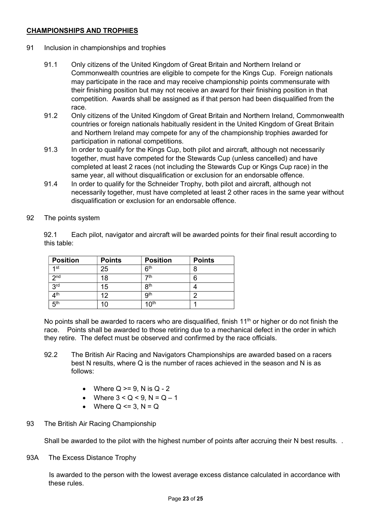## CHAMPIONSHIPS AND TROPHIES

- 91 Inclusion in championships and trophies
	- 91.1 Only citizens of the United Kingdom of Great Britain and Northern Ireland or Commonwealth countries are eligible to compete for the Kings Cup. Foreign nationals may participate in the race and may receive championship points commensurate with their finishing position but may not receive an award for their finishing position in that competition. Awards shall be assigned as if that person had been disqualified from the race.
	- 91.2 Only citizens of the United Kingdom of Great Britain and Northern Ireland, Commonwealth countries or foreign nationals habitually resident in the United Kingdom of Great Britain and Northern Ireland may compete for any of the championship trophies awarded for participation in national competitions.
	- 91.3 In order to qualify for the Kings Cup, both pilot and aircraft, although not necessarily together, must have competed for the Stewards Cup (unless cancelled) and have completed at least 2 races (not including the Stewards Cup or Kings Cup race) in the same year, all without disqualification or exclusion for an endorsable offence.
	- 91.4 In order to qualify for the Schneider Trophy, both pilot and aircraft, although not necessarily together, must have completed at least 2 other races in the same year without disqualification or exclusion for an endorsable offence.
- 92 The points system

92.1 Each pilot, navigator and aircraft will be awarded points for their final result according to this table:

| <b>Position</b> | <b>Points</b> | <b>Position</b>  | <b>Points</b> |
|-----------------|---------------|------------------|---------------|
| 1st             | 25            | ჩ <sup>th</sup>  |               |
| 2 <sub>nd</sub> | 18            | 7th              | 6             |
| 3 <sup>rd</sup> | 15            | 8 <sup>th</sup>  |               |
| $4^{\text{th}}$ | 12            | gth              | ┍             |
| 5 <sup>th</sup> | 10            | 10 <sup>th</sup> |               |

No points shall be awarded to racers who are disqualified, finish  $11<sup>th</sup>$  or higher or do not finish the race. Points shall be awarded to those retiring due to a mechanical defect in the order in which they retire. The defect must be observed and confirmed by the race officials.

- 92.2 The British Air Racing and Navigators Championships are awarded based on a racers best N results, where Q is the number of races achieved in the season and N is as follows:
	- Where  $Q \ge 9$ . N is  $Q 2$
	- Where  $3 < Q < 9$ ,  $N = Q 1$
	- Where  $Q \leq 3$ ,  $N = Q$
- 93 The British Air Racing Championship

Shall be awarded to the pilot with the highest number of points after accruing their N best results. .

93A The Excess Distance Trophy

 Is awarded to the person with the lowest average excess distance calculated in accordance with these rules.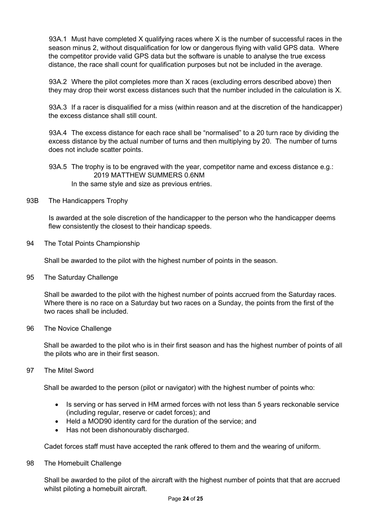93A.1 Must have completed X qualifying races where X is the number of successful races in the season minus 2, without disqualification for low or dangerous flying with valid GPS data. Where the competitor provide valid GPS data but the software is unable to analyse the true excess distance, the race shall count for qualification purposes but not be included in the average.

 93A.2 Where the pilot completes more than X races (excluding errors described above) then they may drop their worst excess distances such that the number included in the calculation is X.

 93A.3 If a racer is disqualified for a miss (within reason and at the discretion of the handicapper) the excess distance shall still count.

 93A.4 The excess distance for each race shall be "normalised" to a 20 turn race by dividing the excess distance by the actual number of turns and then multiplying by 20. The number of turns does not include scatter points.

93A.5 The trophy is to be engraved with the year, competitor name and excess distance e.g.: 2019 MATTHEW SUMMERS 0.6NM

In the same style and size as previous entries.

93B The Handicappers Trophy

 Is awarded at the sole discretion of the handicapper to the person who the handicapper deems flew consistently the closest to their handicap speeds.

94 The Total Points Championship

Shall be awarded to the pilot with the highest number of points in the season.

95 The Saturday Challenge

Shall be awarded to the pilot with the highest number of points accrued from the Saturday races. Where there is no race on a Saturday but two races on a Sunday, the points from the first of the two races shall be included.

96 The Novice Challenge

Shall be awarded to the pilot who is in their first season and has the highest number of points of all the pilots who are in their first season.

97 The Mitel Sword

Shall be awarded to the person (pilot or navigator) with the highest number of points who:

- Is serving or has served in HM armed forces with not less than 5 years reckonable service (including regular, reserve or cadet forces); and
- Held a MOD90 identity card for the duration of the service; and
- Has not been dishonourably discharged.

Cadet forces staff must have accepted the rank offered to them and the wearing of uniform.

98 The Homebuilt Challenge

Shall be awarded to the pilot of the aircraft with the highest number of points that that are accrued whilst piloting a homebuilt aircraft.